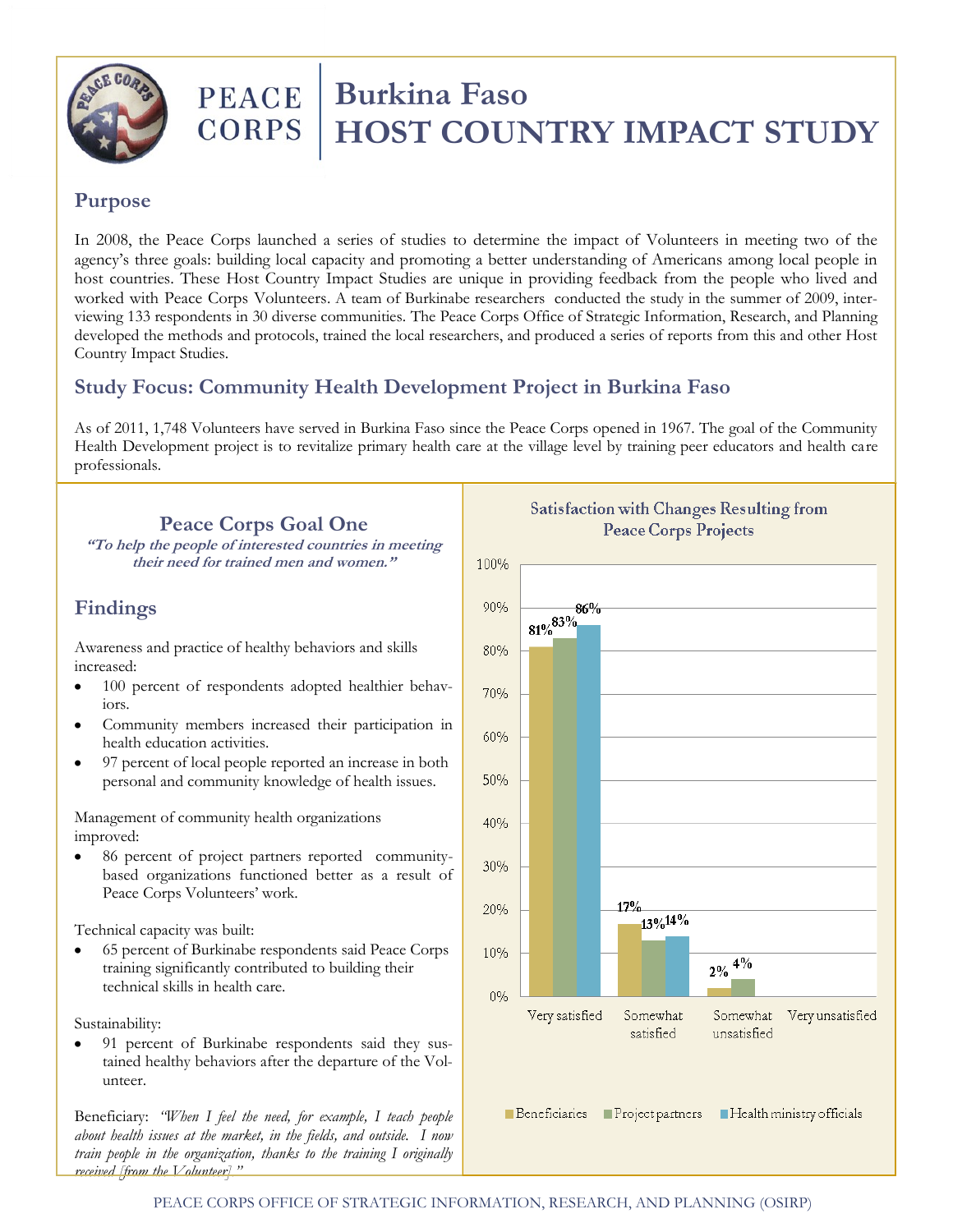

# **PEACE Burkina Faso**<br>CORPS **HOST COUN HOST COUNTRY IMPACT STUDY**

#### **Purpose**

In 2008, the Peace Corps launched a series of studies to determine the impact of Volunteers in meeting two of the agency's three goals: building local capacity and promoting a better understanding of Americans among local people in host countries. These Host Country Impact Studies are unique in providing feedback from the people who lived and worked with Peace Corps Volunteers. A team of Burkinabe researchers conducted the study in the summer of 2009, interviewing 133 respondents in 30 diverse communities. The Peace Corps Office of Strategic Information, Research, and Planning developed the methods and protocols, trained the local researchers, and produced a series of reports from this and other Host Country Impact Studies.

## **Study Focus: Community Health Development Project in Burkina Faso**

As of 2011, 1,748 Volunteers have served in Burkina Faso since the Peace Corps opened in 1967. The goal of the Community Health Development project is to revitalize primary health care at the village level by training peer educators and health care professionals.

## **Peace Corps Goal One**

**"To help the people of interested countries in meeting their need for trained men and women."**

#### **Findings**

Awareness and practice of healthy behaviors and skills increased:

- 100 percent of respondents adopted healthier behav- $\bullet$ iors.
- Community members increased their participation in health education activities.
- 97 percent of local people reported an increase in both personal and community knowledge of health issues.

Management of community health organizations improved:

86 percent of project partners reported communitybased organizations functioned better as a result of Peace Corps Volunteers' work.

Technical capacity was built:

65 percent of Burkinabe respondents said Peace Corps training significantly contributed to building their technical skills in health care.

Sustainability:

91 percent of Burkinabe respondents said they sustained healthy behaviors after the departure of the Volunteer.

Beneficiary: *"When I feel the need, for example, I teach people about health issues at the market, in the fields, and outside. I now train people in the organization, thanks to the training I originally received [from the Volunteer]."*



**Satisfaction with Changes Resulting from Peace Corps Projects**